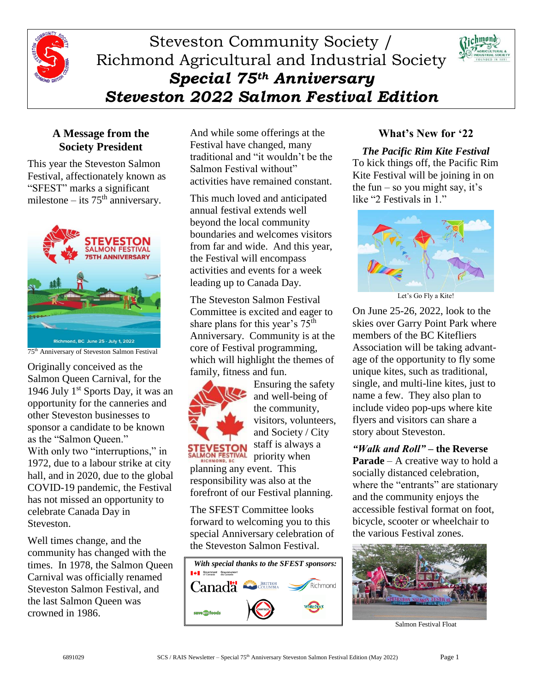

# Steveston Community Society / Richmond Agricultural and Industrial Society *Special 75th Anniversary Steveston 2022 Salmon Festival Edition*



### **A Message from the Society President**

This year the Steveston Salmon Festival, affectionately known as "SFEST" marks a significant milestone – its  $75<sup>th</sup>$  anniversary.



75th Anniversary of Steveston Salmon Festival

Originally conceived as the Salmon Queen Carnival, for the 1946 July  $1<sup>st</sup>$  Sports Day, it was an opportunity for the canneries and other Steveston businesses to sponsor a candidate to be known as the "Salmon Queen." With only two "interruptions," in 1972, due to a labour strike at city hall, and in 2020, due to the global COVID-19 pandemic, the Festival has not missed an opportunity to celebrate Canada Day in Steveston.

Well times change, and the community has changed with the times. In 1978, the Salmon Queen Carnival was officially renamed Steveston Salmon Festival, and the last Salmon Queen was crowned in 1986.

And while some offerings at the Festival have changed, many traditional and "it wouldn't be the Salmon Festival without" activities have remained constant.

This much loved and anticipated annual festival extends well beyond the local community boundaries and welcomes visitors from far and wide. And this year, the Festival will encompass activities and events for a week leading up to Canada Day.

The Steveston Salmon Festival Committee is excited and eager to share plans for this year's 75<sup>th</sup> Anniversary. Community is at the core of Festival programming, which will highlight the themes of family, fitness and fun.



Ensuring the safety and well-being of the community, visitors, volunteers, and Society / City

staff is always a priority when

planning any event. This responsibility was also at the forefront of our Festival planning.

The SFEST Committee looks forward to welcoming you to this special Anniversary celebration of the Steveston Salmon Festival.



# **What's New for '22**

### *The Pacific Rim Kite Festival*

To kick things off, the Pacific Rim Kite Festival will be joining in on the fun – so you might say, it's like "2 Festivals in 1."



Let's Go Fly a Kite!

On June 25-26, 2022, look to the skies over Garry Point Park where members of the BC Kitefliers Association will be taking advantage of the opportunity to fly some unique kites, such as traditional, single, and multi-line kites, just to name a few. They also plan to include video pop-ups where kite flyers and visitors can share a story about Steveston.

*"Walk and Roll"* **– the Reverse Parade** – A creative way to hold a socially distanced celebration, where the "entrants" are stationary and the community enjoys the accessible festival format on foot, bicycle, scooter or wheelchair to the various Festival zones.



Salmon Festival Float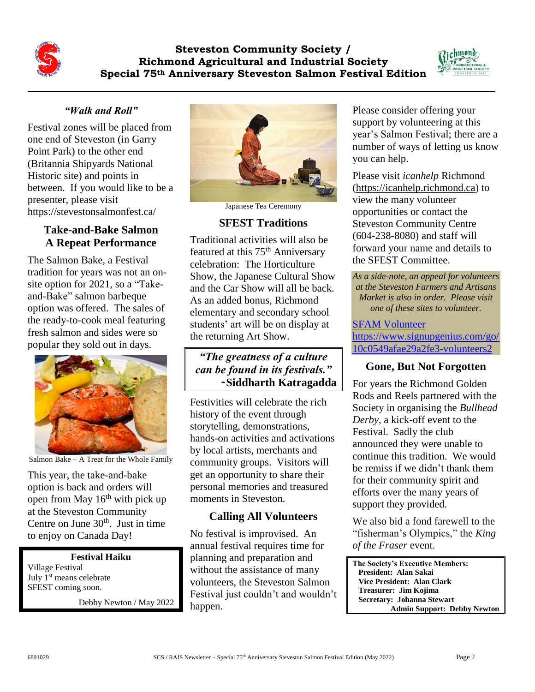**Steveston Community Society / Richmond Agricultural and Industrial Society Special 75th Anniversary Steveston Salmon Festival Edition**



# *"Walk and Roll"*

Festival zones will be placed from one end of Steveston (in Garry Point Park) to the other end (Britannia Shipyards National Historic site) and points in between. If you would like to be a presenter, please visit https://stevestonsalmonfest.ca/

### **Take-and-Bake Salmon A Repeat Performance**

The Salmon Bake, a Festival tradition for years was not an onsite option for 2021, so a "Takeand-Bake" salmon barbeque option was offered. The sales of the ready-to-cook meal featuring fresh salmon and sides were so popular they sold out in days.



Salmon Bake – A Treat for the Whole Family

This year, the take-and-bake option is back and orders will open from May  $16<sup>th</sup>$  with pick up at the Steveston Community Centre on June  $30<sup>th</sup>$ . Just in time to enjoy on Canada Day!

# **Festival Haiku**

Village Festival July 1<sup>st</sup> means celebrate SFEST coming soon.

Debby Newton / May 2022



Japanese Tea Ceremony

# **SFEST Traditions**

Traditional activities will also be featured at this 75<sup>th</sup> Anniversary celebration: The Horticulture Show, the Japanese Cultural Show and the Car Show will all be back. As an added bonus, Richmond elementary and secondary school students' art will be on display at the returning Art Show.

# *"The greatness of a culture can be found in its festivals."*  **̴Siddharth Katragadda**

Festivities will celebrate the rich history of the event through storytelling, demonstrations, hands-on activities and activations by local artists, merchants and community groups. Visitors will get an opportunity to share their personal memories and treasured moments in Steveston.

# **Calling All Volunteers**

No festival is improvised. An annual festival requires time for planning and preparation and without the assistance of many volunteers, the Steveston Salmon Festival just couldn't and wouldn't happen.

Please consider offering your support by volunteering at this year's Salmon Festival; there are a number of ways of letting us know you can help.

Please visit *icanhelp* Richmond [\(https://icanhelp.richmond.ca\)](https://icanhelp.richmond.ca/) to view the many volunteer opportunities or contact the Steveston Community Centre (604-238-8080) and staff will forward your name and details to the SFEST Committee.

*As a side-note, an appeal for volunteers at the Steveston Farmers and Artisans Market is also in order. Please visit one of these sites to volunteer.*

### [SFAM Volunteer](https://www.signupgenius.com/go/10c0549afae29a2fe3-volunteers2) [https://www.signupgenius.com/go/](https://www.signupgenius.com/go/10c0549afae29a2fe3-volunteers2) [10c0549afae29a2fe3-volunteers2](https://www.signupgenius.com/go/10c0549afae29a2fe3-volunteers2)

### **Gone, But Not Forgotten**

For years the Richmond Golden Rods and Reels partnered with the Society in organising the *Bullhead Derby*, a kick-off event to the Festival. Sadly the club announced they were unable to continue this tradition. We would be remiss if we didn't thank them for their community spirit and efforts over the many years of support they provided.

We also bid a fond farewell to the "fisherman's Olympics," the *King of the Fraser* event.

**The Society's Executive Members: President: Alan Sakai Vice President: Alan Clark Treasurer: Jim Kojima Secretary: Johanna Stewart Admin Support: Debby Newton**